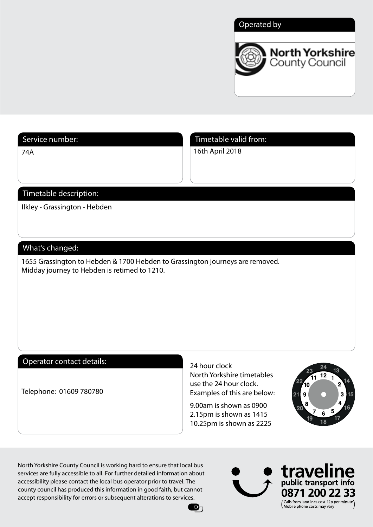## Operated by



74A

Service number: Timetable valid from:

16th April 2018

# Timetable description:

Ilkley - Grassington - Hebden

## What's changed:

1655 Grassington to Hebden & 1700 Hebden to Grassington journeys are removed. Midday journey to Hebden is retimed to 1210.

## Operator contact details:

Telephone: 01609 780780

24 hour clock North Yorkshire timetables use the 24 hour clock. Examples of this are below:

9.00am is shown as 0900 2.15pm is shown as 1415 10.25pm is shown as 2225

 $\mathbf{e}_1$ 



North Yorkshire County Council is working hard to ensure that local bus services are fully accessible to all. For further detailed information about accessibility please contact the local bus operator prior to travel. The county council has produced this information in good faith, but cannot accept responsibility for errors or subsequent alterations to services.